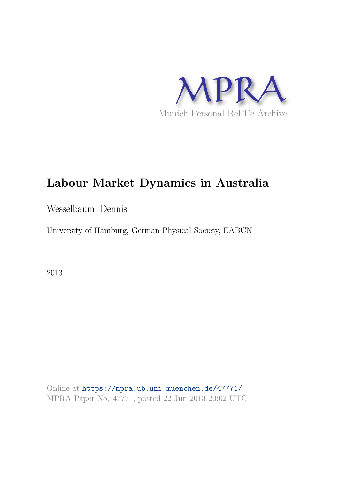

# **Labour Market Dynamics in Australia**

Wesselbaum, Dennis

University of Hamburg, German Physical Society, EABCN

2013

Online at https://mpra.ub.uni-muenchen.de/47771/ MPRA Paper No. 47771, posted 22 Jun 2013 20:02 UTC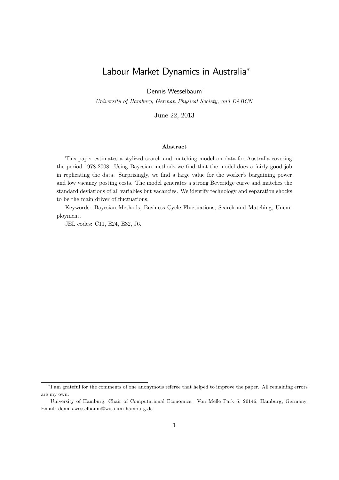## Labour Market Dynamics in Australia<sup>∗</sup>

Dennis Wesselbaum†

University of Hamburg, German Physical Society, and EABCN

June 22, 2013

#### Abstract

This paper estimates a stylized search and matching model on data for Australia covering the period 1978-2008. Using Bayesian methods we find that the model does a fairly good job in replicating the data. Surprisingly, we find a large value for the worker's bargaining power and low vacancy posting costs. The model generates a strong Beveridge curve and matches the standard deviations of all variables but vacancies. We identify technology and separation shocks to be the main driver of fluctuations.

Keywords: Bayesian Methods, Business Cycle Fluctuations, Search and Matching, Unemployment.

JEL codes: C11, E24, E32, J6.

<sup>∗</sup> I am grateful for the comments of one anonymous referee that helped to improve the paper. All remaining errors are my own.

<sup>†</sup>University of Hamburg, Chair of Computational Economics. Von Melle Park 5, 20146, Hamburg, Germany. Email: dennis.wesselbaum@wiso.uni-hamburg.de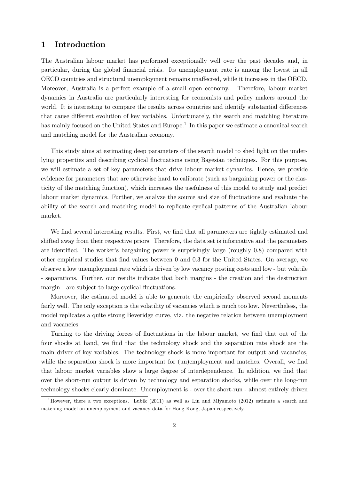## 1 Introduction

The Australian labour market has performed exceptionally well over the past decades and, in particular, during the global financial crisis. Its unemployment rate is among the lowest in all OECD countries and structural unemployment remains unaffected, while it increases in the OECD. Moreover, Australia is a perfect example of a small open economy. Therefore, labour market dynamics in Australia are particularly interesting for economists and policy makers around the world. It is interesting to compare the results across countries and identify substantial differences that cause different evolution of key variables. Unfortunately, the search and matching literature has mainly focused on the United States and Europe.<sup>1</sup> In this paper we estimate a canonical search and matching model for the Australian economy.

This study aims at estimating deep parameters of the search model to shed light on the underlying properties and describing cyclical fluctuations using Bayesian techniques. For this purpose, we will estimate a set of key parameters that drive labour market dynamics. Hence, we provide evidence for parameters that are otherwise hard to calibrate (such as bargaining power or the elasticity of the matching function), which increases the usefulness of this model to study and predict labour market dynamics. Further, we analyze the source and size of fluctuations and evaluate the ability of the search and matching model to replicate cyclical patterns of the Australian labour market.

We find several interesting results. First, we find that all parameters are tightly estimated and shifted away from their respective priors. Therefore, the data set is informative and the parameters are identified. The worker's bargaining power is surprisingly large (roughly 0.8) compared with other empirical studies that find values between 0 and 0.3 for the United States. On average, we observe a low unemployment rate which is driven by low vacancy posting costs and low - but volatile - separations. Further, our results indicate that both margins - the creation and the destruction margin - are subject to large cyclical fluctuations.

Moreover, the estimated model is able to generate the empirically observed second moments fairly well. The only exception is the volatility of vacancies which is much too low. Nevertheless, the model replicates a quite strong Beveridge curve, viz. the negative relation between unemployment and vacancies.

Turning to the driving forces of fluctuations in the labour market, we find that out of the four shocks at hand, we find that the technology shock and the separation rate shock are the main driver of key variables. The technology shock is more important for output and vacancies, while the separation shock is more important for  $(u_n)$ employment and matches. Overall, we find that labour market variables show a large degree of interdependence. In addition, we find that over the short-run output is driven by technology and separation shocks, while over the long-run technology shocks clearly dominate. Unemployment is - over the short-run - almost entirely driven

 $1<sup>1</sup>$ However, there a two exceptions. Lubik (2011) as well as Lin and Miyamoto (2012) estimate a search and matching model on unemployment and vacancy data for Hong Kong, Japan respectively.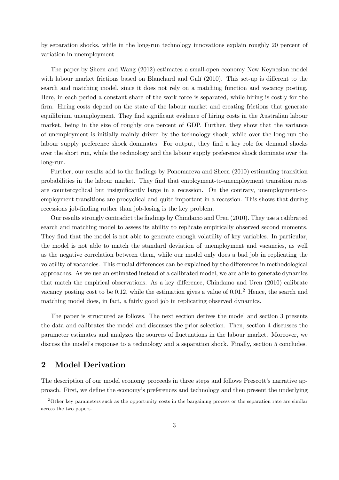by separation shocks, while in the long-run technology innovations explain roughly 20 percent of variation in unemployment.

The paper by Sheen and Wang (2012) estimates a small-open economy New Keynesian model with labour market frictions based on Blanchard and Galí (2010). This set-up is different to the search and matching model, since it does not rely on a matching function and vacancy posting. Here, in each period a constant share of the work force is separated, while hiring is costly for the firm. Hiring costs depend on the state of the labour market and creating frictions that generate equilibrium unemployment. They find significant evidence of hiring costs in the Australian labour market, being in the size of roughly one percent of GDP. Further, they show that the variance of unemployment is initially mainly driven by the technology shock, while over the long-run the labour supply preference shock dominates. For output, they find a key role for demand shocks over the short run, while the technology and the labour supply preference shock dominate over the long-run.

Further, our results add to the findings by Ponomareva and Sheen (2010) estimating transition probabilities in the labour market. They find that employment-to-unemployment transition rates are countercyclical but insignificantly large in a recession. On the contrary, unemployment-toemployment transitions are procyclical and quite important in a recession. This shows that during recessions job-finding rather than job-losing is the key problem.

Our results strongly contradict the findings by Chindamo and Uren (2010). They use a calibrated search and matching model to assess its ability to replicate empirically observed second moments. They find that the model is not able to generate enough volatility of key variables. In particular, the model is not able to match the standard deviation of unemployment and vacancies, as well as the negative correlation between them, while our model only does a bad job in replicating the volatility of vacancies. This crucial differences can be explained by the differences in methodological approaches. As we use an estimated instead of a calibrated model, we are able to generate dynamics that match the empirical observations. As a key difference, Chindamo and Uren (2010) calibrate vacancy posting cost to be 0.12, while the estimation gives a value of  $0.01<sup>2</sup>$  Hence, the search and matching model does, in fact, a fairly good job in replicating observed dynamics.

The paper is structured as follows. The next section derives the model and section 3 presents the data and calibrates the model and discusses the prior selection. Then, section 4 discusses the parameter estimates and analyzes the sources of fluctuations in the labour market. Moreover, we discuss the model's response to a technology and a separation shock. Finally, section 5 concludes.

## 2 Model Derivation

The description of our model economy proceeds in three steps and follows Prescott's narrative approach. First, we define the economy's preferences and technology and then present the underlying

<sup>&</sup>lt;sup>2</sup>Other key parameters such as the opportunity costs in the bargaining process or the separation rate are similar across the two papers.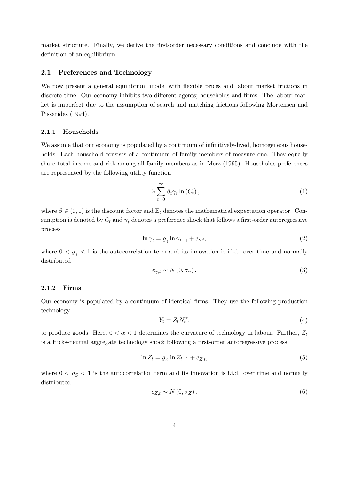market structure. Finally, we derive the first-order necessary conditions and conclude with the definition of an equilibrium.

### 2.1 Preferences and Technology

We now present a general equilibrium model with flexible prices and labour market frictions in discrete time. Our economy inhibits two different agents; households and firms. The labour market is imperfect due to the assumption of search and matching frictions following Mortensen and Pissarides (1994).

#### 2.1.1 Households

We assume that our economy is populated by a continuum of infinitively-lived, homogeneous households. Each household consists of a continuum of family members of measure one. They equally share total income and risk among all family members as in Merz (1995). Households preferences are represented by the following utility function

$$
\mathbb{E}_t \sum_{t=0}^{\infty} \beta_t \gamma_t \ln(C_t), \qquad (1)
$$

where  $\beta \in (0,1)$  is the discount factor and  $\mathbb{E}_t$  denotes the mathematical expectation operator. Consumption is denoted by  $C_t$  and  $\gamma_t$  denotes a preference shock that follows a first-order autoregressive process

$$
\ln \gamma_t = \varrho_\gamma \ln \gamma_{t-1} + e_{\gamma, t},\tag{2}
$$

where  $0 < \rho_{\gamma} < 1$  is the autocorrelation term and its innovation is i.i.d. over time and normally distributed

$$
e_{\gamma,t} \sim N(0, \sigma_{\gamma}).\tag{3}
$$

#### 2.1.2 Firms

Our economy is populated by a continuum of identical firms. They use the following production technology

$$
Y_t = Z_t N_t^{\alpha},\tag{4}
$$

to produce goods. Here,  $0 < \alpha < 1$  determines the curvature of technology in labour. Further,  $Z_t$ is a Hicks-neutral aggregate technology shock following a first-order autoregressive process

$$
\ln Z_t = \varrho_Z \ln Z_{t-1} + e_{Z,t},\tag{5}
$$

where  $0 < \varrho_Z < 1$  is the autocorrelation term and its innovation is i.i.d. over time and normally distributed

$$
e_{Z,t} \sim N(0, \sigma_Z). \tag{6}
$$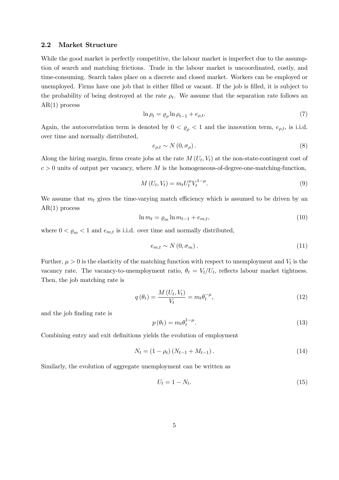#### 2.2 Market Structure

While the good market is perfectly competitive, the labour market is imperfect due to the assumption of search and matching frictions. Trade in the labour market is uncoordinated, costly, and time-consuming. Search takes place on a discrete and closed market. Workers can be employed or unemployed. Firms have one job that is either filled or vacant. If the job is filled, it is subject to the probability of being destroyed at the rate  $\rho_t$ . We assume that the separation rate follows an  $AR(1)$  process

$$
\ln \rho_t = \varrho_\rho \ln \rho_{t-1} + e_{\rho,t}.\tag{7}
$$

Again, the autocorrelation term is denoted by  $0 < \rho_{\rho} < 1$  and the innovation term,  $e_{\rho,t}$ , is i.i.d. over time and normally distributed,

$$
e_{\rho,t} \sim N(0,\sigma_{\rho}).\tag{8}
$$

Along the hiring margin, firms create jobs at the rate  $M(U_t, V_t)$  at the non-state-contingent cost of  $c > 0$  units of output per vacancy, where M is the homogeneous-of-degree-one-matching-function,

$$
M(U_t, V_t) = m_t U_t^{\mu} V_t^{1-\mu}.
$$
\n(9)

We assume that  $m_t$  gives the time-varying match efficiency which is assumed to be driven by an AR(1) process

$$
\ln m_t = \varrho_m \ln m_{t-1} + e_{m,t},\tag{10}
$$

where  $0 < \rho_m < 1$  and  $e_{m,t}$  is i.i.d. over time and normally distributed,

$$
e_{m,t} \sim N(0, \sigma_m). \tag{11}
$$

Further,  $\mu > 0$  is the elasticity of the matching function with respect to unemployment and  $V_t$  is the vacancy rate. The vacancy-to-unemployment ratio,  $\theta_t = V_t / U_t$ , reflects labour market tightness. Then, the job matching rate is

$$
q(\theta_t) = \frac{M\left(U_t, V_t\right)}{V_t} = m_t \theta_t^{-\mu},\tag{12}
$$

and the job finding rate is

$$
p(\theta_t) = m_t \theta_t^{1-\mu}.
$$
\n(13)

Combining entry and exit definitions yields the evolution of employment

$$
N_t = (1 - \rho_t) (N_{t-1} + M_{t-1}). \tag{14}
$$

Similarly, the evolution of aggregate unemployment can be written as

$$
U_t = 1 - N_t. \tag{15}
$$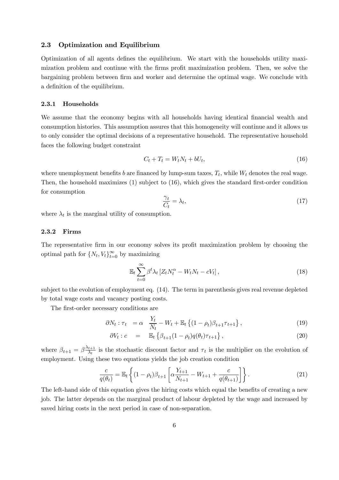#### 2.3 Optimization and Equilibrium

Optimization of all agents defines the equilibrium. We start with the households utility maximization problem and continue with the firms profit maximization problem. Then, we solve the bargaining problem between firm and worker and determine the optimal wage. We conclude with a definition of the equilibrium.

#### 2.3.1 Households

We assume that the economy begins with all households having identical financial wealth and consumption histories. This assumption assures that this homogeneity will continue and it allows us to only consider the optimal decisions of a representative household. The representative household faces the following budget constraint

$$
C_t + T_t = W_t N_t + bU_t, \qquad (16)
$$

where unemployment benefits b are financed by lump-sum taxes,  $T_t$ , while  $W_t$  denotes the real wage. Then, the household maximizes (1) subject to (16), which gives the standard first-order condition for consumption

$$
\frac{\gamma_t}{C_t} = \lambda_t,\tag{17}
$$

where  $\lambda_t$  is the marginal utility of consumption.

#### 2.3.2 Firms

The representative firm in our economy solves its profit maximization problem by choosing the optimal path for  $\{N_t, V_t\}_{t=0}^{\infty}$  by maximizing

$$
\mathbb{E}_t \sum_{t=0}^{\infty} \beta^t \lambda_t \left[ Z_t N_t^{\alpha} - W_t N_t - c V_t \right], \tag{18}
$$

subject to the evolution of employment eq. (14). The term in parenthesis gives real revenue depleted by total wage costs and vacancy posting costs.

The first-order necessary conditions are

$$
\partial N_t : \tau_t = \alpha \quad \frac{Y_t}{N_t} - W_t + \mathbb{E}_t \left\{ (1 - \rho_t) \beta_{t+1} \tau_{t+1} \right\},\tag{19}
$$

$$
\partial V_t : c = \mathbb{E}_t \left\{ \beta_{t+1} (1 - \rho_t) q(\theta_t) \tau_{t+1} \right\},\tag{20}
$$

where  $\beta_{t+1} = \beta \frac{\lambda_{t+1}}{\lambda_t}$  $\frac{t+1}{\lambda_t}$  is the stochastic discount factor and  $\tau_t$  is the multiplier on the evolution of employment. Using these two equations yields the job creation condition

$$
\frac{c}{q(\theta_t)} = \mathbb{E}_t \left\{ (1 - \rho_t) \beta_{t+1} \left[ \alpha \frac{Y_{t+1}}{N_{t+1}} - W_{t+1} + \frac{c}{q(\theta_{t+1})} \right] \right\}.
$$
\n(21)

The left-hand side of this equation gives the hiring costs which equal the benefits of creating a new job. The latter depends on the marginal product of labour depleted by the wage and increased by saved hiring costs in the next period in case of non-separation.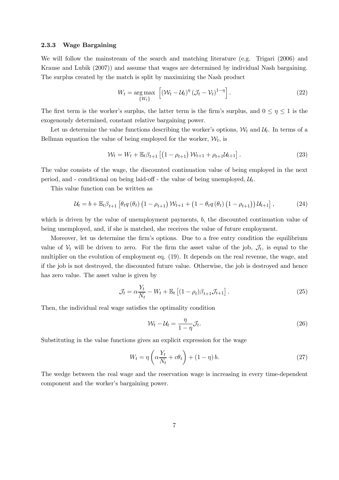#### 2.3.3 Wage Bargaining

We will follow the mainstream of the search and matching literature (e.g. Trigari (2006) and Krause and Lubik (2007)) and assume that wages are determined by individual Nash bargaining. The surplus created by the match is split by maximizing the Nash product

$$
W_t = \underset{\{W_t\}}{\arg \max} \left[ \left( \mathcal{W}_t - \mathcal{U}_t \right)^{\eta} \left( \mathcal{J}_t - \mathcal{V}_t \right)^{1-\eta} \right]. \tag{22}
$$

The first term is the worker's surplus, the latter term is the firm's surplus, and  $0 \leq \eta \leq 1$  is the exogenously determined, constant relative bargaining power.

Let us determine the value functions describing the worker's options,  $W_t$  and  $U_t$ . In terms of a Bellman equation the value of being employed for the worker,  $W_t$ , is

$$
\mathcal{W}_t = W_t + \mathbb{E}_t \beta_{t+1} \left[ \left( 1 - \rho_{t+1} \right) \mathcal{W}_{t+1} + \rho_{t+1} \mathcal{U}_{t+1} \right]. \tag{23}
$$

The value consists of the wage, the discounted continuation value of being employed in the next period, and - conditional on being laid-off - the value of being unemployed,  $\mathcal{U}_t$ .

This value function can be written as

$$
\mathcal{U}_{t} = b + \mathbb{E}_{t} \beta_{t+1} \left[ \theta_{t} q \left( \theta_{t} \right) \left( 1 - \rho_{t+1} \right) \mathcal{W}_{t+1} + \left( 1 - \theta_{t} q \left( \theta_{t} \right) \left( 1 - \rho_{t+1} \right) \right) \mathcal{U}_{t+1} \right], \tag{24}
$$

which is driven by the value of unemployment payments,  $b$ , the discounted continuation value of being unemployed, and, if she is matched, she receives the value of future employment.

Moreover, let us determine the firm's options. Due to a free entry condition the equilibrium value of  $V_t$  will be driven to zero. For the firm the asset value of the job,  $\mathcal{J}_t$ , is equal to the multiplier on the evolution of employment eq. (19). It depends on the real revenue, the wage, and if the job is not destroyed, the discounted future value. Otherwise, the job is destroyed and hence has zero value. The asset value is given by

$$
\mathcal{J}_t = \alpha \frac{Y_t}{N_t} - W_t + \mathbb{E}_t \left[ (1 - \rho_t) \beta_{t+1} \mathcal{J}_{t+1} \right]. \tag{25}
$$

Then, the individual real wage satisfies the optimality condition

$$
\mathcal{W}_t - \mathcal{U}_t = \frac{\eta}{1 - \eta} \mathcal{J}_t. \tag{26}
$$

Substituting in the value functions gives an explicit expression for the wage

$$
W_t = \eta \left( \alpha \frac{Y_t}{N_t} + c\theta_t \right) + (1 - \eta) b. \tag{27}
$$

The wedge between the real wage and the reservation wage is increasing in every time-dependent component and the worker's bargaining power.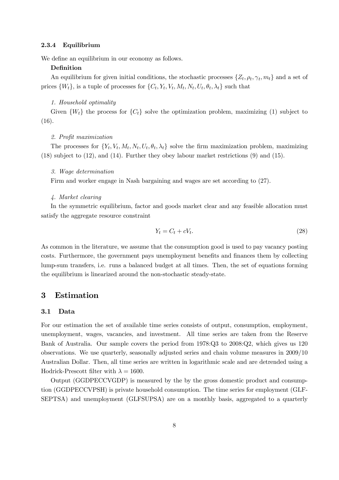#### 2.3.4 Equilibrium

We define an equilibrium in our economy as follows.

#### Definition

An equilibrium for given initial conditions, the stochastic processes  $\{Z_t, \rho_t, \gamma_t, m_t\}$  and a set of prices  $\{W_t\}$ , is a tuple of processes for  $\{C_t, Y_t, V_t, M_t, N_t, U_t, \theta_t, \lambda_t\}$  such that

#### 1. Household optimality

Given  $\{W_t\}$  the process for  $\{C_t\}$  solve the optimization problem, maximizing (1) subject to (16).

#### 2. Profit maximization

The processes for  $\{Y_t, V_t, M_t, N_t, U_t, \theta_t, \lambda_t\}$  solve the firm maximization problem, maximizing (18) subject to (12), and (14). Further they obey labour market restrictions (9) and (15).

#### 3. Wage determination

Firm and worker engage in Nash bargaining and wages are set according to (27).

#### 4. Market clearing

In the symmetric equilibrium, factor and goods market clear and any feasible allocation must satisfy the aggregate resource constraint

$$
Y_t = C_t + cV_t. \tag{28}
$$

As common in the literature, we assume that the consumption good is used to pay vacancy posting costs. Furthermore, the government pays unemployment benefits and finances them by collecting lump-sum transfers, i.e. runs a balanced budget at all times. Then, the set of equations forming the equilibrium is linearized around the non-stochastic steady-state.

## 3 Estimation

#### 3.1 Data

For our estimation the set of available time series consists of output, consumption, employment, unemployment, wages, vacancies, and investment. All time series are taken from the Reserve Bank of Australia. Our sample covers the period from 1978:Q3 to 2008:Q2, which gives us 120 observations. We use quarterly, seasonally adjusted series and chain volume measures in 2009/10 Australian Dollar. Then, all time series are written in logarithmic scale and are detrended using a Hodrick-Prescott filter with  $\lambda = 1600$ .

Output (GGDPECCVGDP) is measured by the by the gross domestic product and consumption (GGDPECCVPSH) is private household consumption. The time series for employment (GLF-SEPTSA) and unemployment (GLFSUPSA) are on a monthly basis, aggregated to a quarterly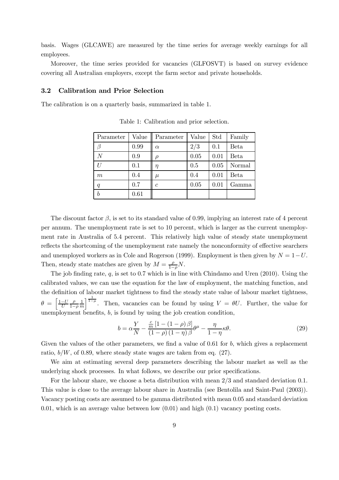basis. Wages (GLCAWE) are measured by the time series for average weekly earnings for all employees.

Moreover, the time series provided for vacancies (GLFOSVT) is based on survey evidence covering all Australian employers, except the farm sector and private households.

#### 3.2 Calibration and Prior Selection

The calibration is on a quarterly basis, summarized in table 1.

| Parameter | Value | Parameter      | Value | Std  | Family      |
|-----------|-------|----------------|-------|------|-------------|
|           | 0.99  | $\alpha$       | 2/3   | 0.1  | <b>Beta</b> |
| N         | 0.9   |                | 0.05  | 0.01 | <b>Beta</b> |
| TΤ        | 0.1   | η              | 0.5   | 0.05 | Normal      |
| $m\,$     | 0.4   | $\mu$          | 0.4   | 0.01 | <b>Beta</b> |
| q         | 0.7   | $\overline{c}$ | 0.05  | 0.01 | Gamma       |
| b         | 0.61  |                |       |      |             |

Table 1: Calibration and prior selection.

The discount factor  $\beta$ , is set to its standard value of 0.99, implying an interest rate of 4 percent per annum. The unemployment rate is set to 10 percent, which is larger as the current unemployment rate in Australia of 5.4 percent. This relatively high value of steady state unemployment reflects the shortcoming of the unemployment rate namely the nonconformity of effective searchers and unemployed workers as in Cole and Rogerson (1999). Employment is then given by  $N = 1-U$ . Then, steady state matches are given by  $M = \frac{\rho}{1-\rho}N$ .

The job finding rate,  $q$ , is set to 0.7 which is in line with Chindamo and Uren (2010). Using the calibrated values, we can use the equation for the law of employment, the matching function, and the definition of labour market tightness to find the steady state value of labour market tightness,  $\theta = \left[\frac{1-U}{U}\right]$ ρ 1−ρ 1 m  $\int_{0}^{\frac{1}{1-\mu}}$ . Then, vacancies can be found by using  $V = \theta U$ . Further, the value for unemployment benefits, b, is found by using the job creation condition,

$$
b = \alpha \frac{Y}{N} - \frac{\frac{c}{m} \left[1 - \left(1 - \rho\right) \beta\right]}{\left(1 - \rho\right) \left(1 - \eta\right) \beta} \theta^{\mu} - \frac{\eta}{1 - \eta} \kappa \theta. \tag{29}
$$

Given the values of the other parameters, we find a value of  $0.61$  for b, which gives a replacement ratio,  $b/W$ , of 0.89, where steady state wages are taken from eq. (27).

We aim at estimating several deep parameters describing the labour market as well as the underlying shock processes. In what follows, we describe our prior specifications.

For the labour share, we choose a beta distribution with mean 2/3 and standard deviation 0.1. This value is close to the average labour share in Australia (see Bentolila and Saint-Paul (2003)). Vacancy posting costs are assumed to be gamma distributed with mean 0.05 and standard deviation 0.01, which is an average value between low  $(0.01)$  and high  $(0.1)$  vacancy posting costs.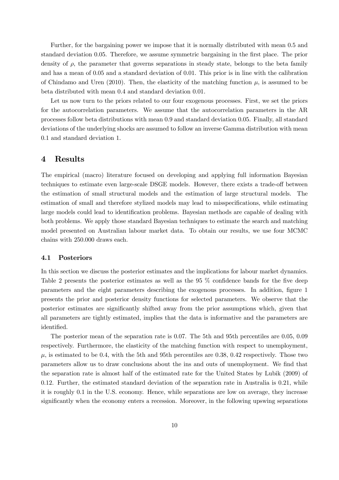Further, for the bargaining power we impose that it is normally distributed with mean 0.5 and standard deviation 0.05. Therefore, we assume symmetric bargaining in the first place. The prior density of  $\rho$ , the parameter that governs separations in steady state, belongs to the beta family and has a mean of 0.05 and a standard deviation of 0.01. This prior is in line with the calibration of Chindamo and Uren (2010). Then, the elasticity of the matching function  $\mu$ , is assumed to be beta distributed with mean 0.4 and standard deviation 0.01.

Let us now turn to the priors related to our four exogenous processes. First, we set the priors for the autocorrelation parameters. We assume that the autocorrelation parameters in the AR processes follow beta distributions with mean 0.9 and standard deviation 0.05. Finally, all standard deviations of the underlying shocks are assumed to follow an inverse Gamma distribution with mean 0.1 and standard deviation 1.

## 4 Results

The empirical (macro) literature focused on developing and applying full information Bayesian techniques to estimate even large-scale DSGE models. However, there exists a trade-off between the estimation of small structural models and the estimation of large structural models. The estimation of small and therefore stylized models may lead to misspecifications, while estimating large models could lead to identification problems. Bayesian methods are capable of dealing with both problems. We apply those standard Bayesian techniques to estimate the search and matching model presented on Australian labour market data. To obtain our results, we use four MCMC chains with 250.000 draws each.

#### 4.1 Posteriors

In this section we discuss the posterior estimates and the implications for labour market dynamics. Table 2 presents the posterior estimates as well as the 95 % confidence bands for the five deep parameters and the eight parameters describing the exogenous processes. In addition, figure 1 presents the prior and posterior density functions for selected parameters. We observe that the posterior estimates are significantly shifted away from the prior assumptions which, given that all parameters are tightly estimated, implies that the data is informative and the parameters are identified.

The posterior mean of the separation rate is 0.07. The 5th and 95th percentiles are 0.05, 0.09 respectively. Furthermore, the elasticity of the matching function with respect to unemployment,  $\mu$ , is estimated to be 0.4, with the 5th and 95th percentiles are 0.38, 0.42 respectively. Those two parameters allow us to draw conclusions about the ins and outs of unemployment. We find that the separation rate is almost half of the estimated rate for the United States by Lubik (2009) of 0.12. Further, the estimated standard deviation of the separation rate in Australia is 0.21, while it is roughly 0.1 in the U.S. economy. Hence, while separations are low on average, they increase significantly when the economy enters a recession. Moreover, in the following upswing separations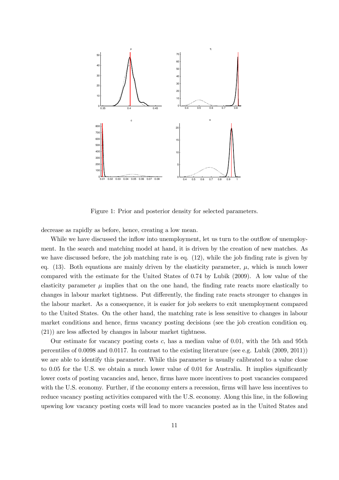

Figure 1: Prior and posterior density for selected parameters.

decrease as rapidly as before, hence, creating a low mean.

While we have discussed the inflow into unemployment, let us turn to the outflow of unemployment. In the search and matching model at hand, it is driven by the creation of new matches. As we have discussed before, the job matching rate is eq. (12), while the job finding rate is given by eq.  $(13)$ . Both equations are mainly driven by the elasticity parameter,  $\mu$ , which is much lower compared with the estimate for the United States of 0.74 by Lubik (2009). A low value of the elasticity parameter  $\mu$  implies that on the one hand, the finding rate reacts more elastically to changes in labour market tightness. Put differently, the finding rate reacts stronger to changes in the labour market. As a consequence, it is easier for job seekers to exit unemployment compared to the United States. On the other hand, the matching rate is less sensitive to changes in labour market conditions and hence, firms vacancy posting decisions (see the job creation condition eq. (21)) are less affected by changes in labour market tightness.

Our estimate for vacancy posting costs  $c$ , has a median value of 0.01, with the 5th and 95th percentiles of 0.0098 and 0.0117. In contrast to the existing literature (see e.g. Lubik (2009, 2011)) we are able to identify this parameter. While this parameter is usually calibrated to a value close to 0.05 for the U.S. we obtain a much lower value of 0.01 for Australia. It implies significantly lower costs of posting vacancies and, hence, firms have more incentives to post vacancies compared with the U.S. economy. Further, if the economy enters a recession, firms will have less incentives to reduce vacancy posting activities compared with the U.S. economy. Along this line, in the following upswing low vacancy posting costs will lead to more vacancies posted as in the United States and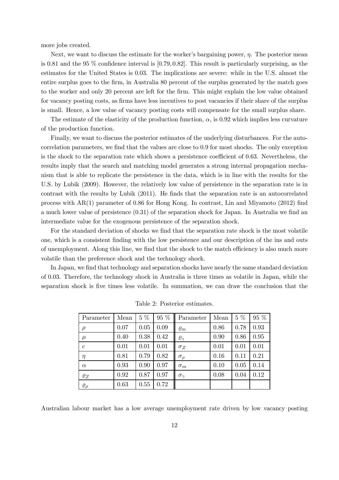more jobs created.

Next, we want to discuss the estimate for the worker's bargaining power,  $\eta$ . The posterior mean is 0.81 and the 95 % confidence interval is [0.79, 0.82]. This result is particularly surprising, as the estimates for the United States is 0.03. The implications are severe: while in the U.S. almost the entire surplus goes to the firm, in Australia 80 percent of the surplus generated by the match goes to the worker and only 20 percent are left for the firm. This might explain the low value obtained for vacancy posting costs, as firms have less incentives to post vacancies if their share of the surplus is small. Hence, a low value of vacancy posting costs will compensate for the small surplus share.

The estimate of the elasticity of the production function,  $\alpha$ , is 0.92 which implies less curvature of the production function.

Finally, we want to discuss the posterior estimates of the underlying disturbances. For the autocorrelation parameters, we find that the values are close to 0.9 for most shocks. The only exception is the shock to the separation rate which shows a persistence coefficient of 0.63. Nevertheless, the results imply that the search and matching model generates a strong internal propagation mechanism that is able to replicate the persistence in the data, which is in line with the results for the U.S. by Lubik (2009). However, the relatively low value of persistence in the separation rate is in contrast with the results by Lubik (2011). He finds that the separation rate is an autocorrelated process with AR(1) parameter of 0.86 for Hong Kong. In contrast, Lin and Miyamoto (2012) find a much lower value of persistence (0.31) of the separation shock for Japan. In Australia we find an intermediate value for the exogenous persistence of the separation shock.

For the standard deviation of shocks we find that the separation rate shock is the most volatile one, which is a consistent finding with the low persistence and our description of the ins and outs of unemployment. Along this line, we find that the shock to the match efficiency is also much more volatile than the preference shock and the technology shock.

In Japan, we find that technology and separation shocks have nearly the same standard deviation of 0.03. Therefore, the technology shock in Australia is three times as volatile in Japan, while the separation shock is five times less volatile. In summation, we can draw the conclusion that the

| Parameter        | Mean | $5\ \%$ | 95 % | Parameter          | Mean | $5\ \%$ | 95 % |
|------------------|------|---------|------|--------------------|------|---------|------|
| $\rho$           | 0.07 | 0.05    | 0.09 | $\varrho_m$        | 0.86 | 0.78    | 0.93 |
| $\mu$            | 0.40 | 0.38    | 0.42 | $\varrho_{\gamma}$ | 0.90 | 0.86    | 0.95 |
| $\mathcal{C}$    | 0.01 | 0.01    | 0.01 | $\sigma_Z$         | 0.01 | 0.01    | 0.01 |
| $\eta$           | 0.81 | 0.79    | 0.82 | $\sigma_{\rho}$    | 0.16 | 0.11    | 0.21 |
| $\alpha$         | 0.93 | 0.90    | 0.97 | $\sigma_m$         | 0.10 | 0.05    | 0.14 |
| $\varrho_Z$      | 0.92 | 0.87    | 0.97 | $\sigma_{\gamma}$  | 0.08 | 0.04    | 0.12 |
| $\varrho_{\rho}$ | 0.63 | 0.55    | 0.72 |                    |      |         |      |

Table 2: Posterior estimates.

Australian labour market has a low average unemployment rate driven by low vacancy posting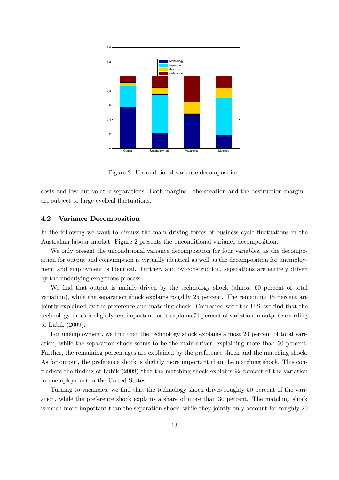

Figure 2: Unconditional variance decomposition.

costs and low but volatile separations. Both margins - the creation and the destruction margin are subject to large cyclical fluctuations.

#### 4.2 Variance Decomposition

In the following we want to discuss the main driving forces of business cycle fluctuations in the Australian labour market. Figure 2 presents the unconditional variance decomposition.

We only present the unconditional variance decomposition for four variables, as the decomposition for output and consumption is virtually identical as well as the decomposition for unemployment and employment is identical. Further, and by construction, separations are entirely driven by the underlying exogenous process.

We find that output is mainly driven by the technology shock (almost 60 percent of total variation), while the separation shock explains roughly 25 percent. The remaining 15 percent are jointly explained by the preference and matching shock. Compared with the U.S. we find that the technology shock is slightly less important, as it explains 71 percent of variation in output according to Lubik (2009).

For unemployment, we find that the technology shock explains almost 20 percent of total variation, while the separation shock seems to be the main driver, explaining more than 50 percent. Further, the remaining percentages are explained by the preference shock and the matching shock. As for output, the preference shock is slightly more important than the matching shock. This contradicts the finding of Lubik (2009) that the matching shock explains 92 percent of the variation in unemployment in the United States.

Turning to vacancies, we find that the technology shock drives roughly 50 percent of the variation, while the preference shock explains a share of more than 30 percent. The matching shock is much more important than the separation shock, while they jointly only account for roughly 20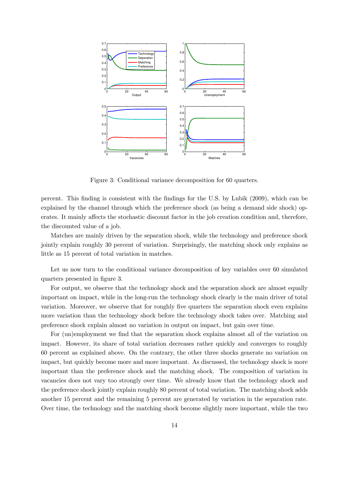

Figure 3: Conditional variance decomposition for 60 quarters.

percent. This finding is consistent with the findings for the U.S. by Lubik (2009), which can be explained by the channel through which the preference shock (as being a demand side shock) operates. It mainly affects the stochastic discount factor in the job creation condition and, therefore, the discounted value of a job.

Matches are mainly driven by the separation shock, while the technology and preference shock jointly explain roughly 30 percent of variation. Surprisingly, the matching shock only explains as little as 15 percent of total variation in matches.

Let us now turn to the conditional variance decomposition of key variables over 60 simulated quarters presented in figure 3.

For output, we observe that the technology shock and the separation shock are almost equally important on impact, while in the long-run the technology shock clearly is the main driver of total variation. Moreover, we observe that for roughly five quarters the separation shock even explains more variation than the technology shock before the technology shock takes over. Matching and preference shock explain almost no variation in output on impact, but gain over time.

For (un)employment we find that the separation shock explains almost all of the variation on impact. However, its share of total variation decreases rather quickly and converges to roughly 60 percent as explained above. On the contrary, the other three shocks generate no variation on impact, but quickly become more and more important. As discussed, the technology shock is more important than the preference shock and the matching shock. The composition of variation in vacancies does not vary too strongly over time. We already know that the technology shock and the preference shock jointly explain roughly 80 percent of total variation. The matching shock adds another 15 percent and the remaining 5 percent are generated by variation in the separation rate. Over time, the technology and the matching shock become slightly more important, while the two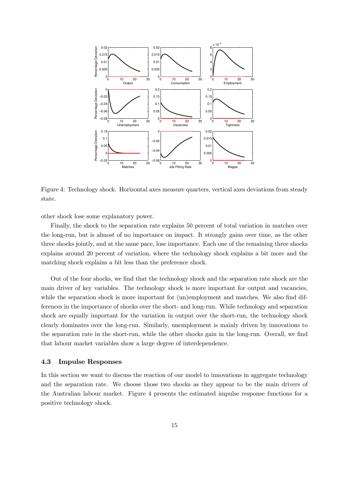

Figure 4: Technology shock. Horizontal axes measure quarters, vertical axes deviations from steady state.

other shock lose some explanatory power.

Finally, the shock to the separation rate explains 50 percent of total variation in matches over the long-run, but is almost of no importance on impact. It strongly gains over time, as the other three shocks jointly, and at the same pace, lose importance. Each one of the remaining three shocks explains around 20 percent of variation, where the technology shock explains a bit more and the matching shock explains a bit less than the preference shock.

Out of the four shocks, we find that the technology shock and the separation rate shock are the main driver of key variables. The technology shock is more important for output and vacancies, while the separation shock is more important for (un)employment and matches. We also find differences in the importance of shocks over the short- and long-run. While technology and separation shock are equally important for the variation in output over the short-run, the technology shock clearly dominates over the long-run. Similarly, unemployment is mainly driven by innovations to the separation rate in the short-run, while the other shocks gain in the long-run. Overall, we find that labour market variables show a large degree of interdependence.

#### 4.3 Impulse Responses

In this section we want to discuss the reaction of our model to innovations in aggregate technology and the separation rate. We choose those two shocks as they appear to be the main drivers of the Australian labour market. Figure 4 presents the estimated impulse response functions for a positive technology shock.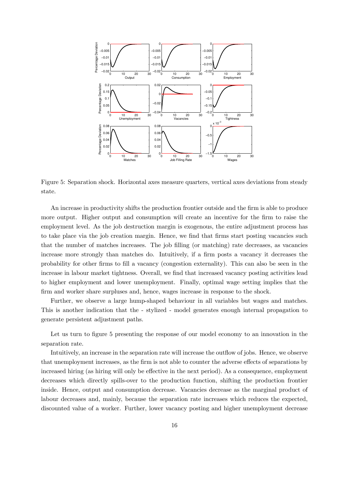

Figure 5: Separation shock. Horizontal axes measure quarters, vertical axes deviations from steady state.

An increase in productivity shifts the production frontier outside and the firm is able to produce more output. Higher output and consumption will create an incentive for the firm to raise the employment level. As the job destruction margin is exogenous, the entire adjustment process has to take place via the job creation margin. Hence, we find that firms start posting vacancies such that the number of matches increases. The job filling (or matching) rate decreases, as vacancies increase more strongly than matches do. Intuitively, if a firm posts a vacancy it decreases the probability for other firms to fill a vacancy (congestion externality). This can also be seen in the increase in labour market tightness. Overall, we find that increased vacancy posting activities lead to higher employment and lower unemployment. Finally, optimal wage setting implies that the firm and worker share surpluses and, hence, wages increase in response to the shock.

Further, we observe a large hump-shaped behaviour in all variables but wages and matches. This is another indication that the - stylized - model generates enough internal propagation to generate persistent adjustment paths.

Let us turn to figure 5 presenting the response of our model economy to an innovation in the separation rate.

Intuitively, an increase in the separation rate will increase the outflow of jobs. Hence, we observe that unemployment increases, as the firm is not able to counter the adverse effects of separations by increased hiring (as hiring will only be effective in the next period). As a consequence, employment decreases which directly spills-over to the production function, shifting the production frontier inside. Hence, output and consumption decrease. Vacancies decrease as the marginal product of labour decreases and, mainly, because the separation rate increases which reduces the expected, discounted value of a worker. Further, lower vacancy posting and higher unemployment decrease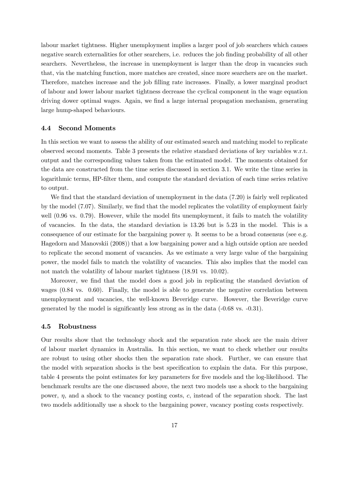labour market tightness. Higher unemployment implies a larger pool of job searchers which causes negative search externalities for other searchers, i.e. reduces the job finding probability of all other searchers. Nevertheless, the increase in unemployment is larger than the drop in vacancies such that, via the matching function, more matches are created, since more searchers are on the market. Therefore, matches increase and the job filling rate increases. Finally, a lower marginal product of labour and lower labour market tightness decrease the cyclical component in the wage equation driving dower optimal wages. Again, we find a large internal propagation mechanism, generating large hump-shaped behaviours.

#### 4.4 Second Moments

In this section we want to assess the ability of our estimated search and matching model to replicate observed second moments. Table 3 presents the relative standard deviations of key variables w.r.t. output and the corresponding values taken from the estimated model. The moments obtained for the data are constructed from the time series discussed in section 3.1. We write the time series in logarithmic terms, HP-filter them, and compute the standard deviation of each time series relative to output.

We find that the standard deviation of unemployment in the data  $(7.20)$  is fairly well replicated by the model (7.07). Similarly, we find that the model replicates the volatility of employment fairly well (0.96 vs. 0.79). However, while the model fits unemployment, it fails to match the volatility of vacancies. In the data, the standard deviation is 13.26 but is 5.23 in the model. This is a consequence of our estimate for the bargaining power  $\eta$ . It seems to be a broad consensus (see e.g. Hagedorn and Manovskii (2008)) that a low bargaining power and a high outside option are needed to replicate the second moment of vacancies. As we estimate a very large value of the bargaining power, the model fails to match the volatility of vacancies. This also implies that the model can not match the volatility of labour market tightness (18.91 vs. 10.02).

Moreover, we find that the model does a good job in replicating the standard deviation of wages (0.84 vs. 0.60). Finally, the model is able to generate the negative correlation between unemployment and vacancies, the well-known Beveridge curve. However, the Beveridge curve generated by the model is significantly less strong as in the data (-0.68 vs. -0.31).

#### 4.5 Robustness

Our results show that the technology shock and the separation rate shock are the main driver of labour market dynamics in Australia. In this section, we want to check whether our results are robust to using other shocks then the separation rate shock. Further, we can ensure that the model with separation shocks is the best specification to explain the data. For this purpose, table 4 presents the point estimates for key parameters for five models and the log-likelihood. The benchmark results are the one discussed above, the next two models use a shock to the bargaining power,  $\eta$ , and a shock to the vacancy posting costs, c, instead of the separation shock. The last two models additionally use a shock to the bargaining power, vacancy posting costs respectively.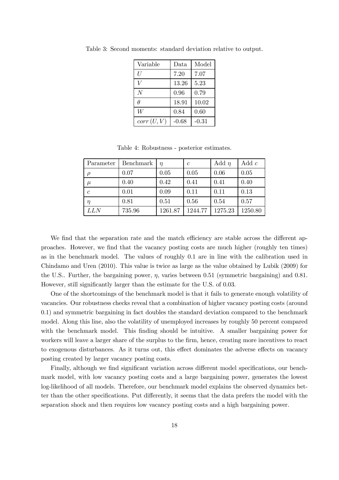| Variable       | Data    | Model   |
|----------------|---------|---------|
| IJ             | 7.20    | 7.07    |
| Ī7             | 13.26   | 5.23    |
| $\overline{N}$ | 0.96    | 0.79    |
| Ĥ              | 18.91   | 10.02   |
| W              | 0.84    | 0.60    |
| corr(U, V)     | $-0.68$ | $-0.31$ |

Table 3: Second moments: standard deviation relative to output.

Table 4: Robustness - posterior estimates.

| Parameter  | Benchmark | $\eta$  | $\mathcal{C}$ | Add $\eta$ | Add $c$ |
|------------|-----------|---------|---------------|------------|---------|
|            | 0.07      | 0.05    | 0.05          | 0.06       | 0.05    |
| $\mu$      | 0.40      | 0.42    | 0.41          | 0.41       | 0.40    |
| $\epsilon$ | 0.01      | 0.09    | 0.11          | 0.11       | 0.13    |
| $\eta$     | 0.81      | 0.51    | 0.56          | 0.54       | 0.57    |
| LLN        | 735.96    | 1261.87 | 1244.77       | 1275.23    | 1250.80 |

We find that the separation rate and the match efficiency are stable across the different approaches. However, we find that the vacancy posting costs are much higher (roughly ten times) as in the benchmark model. The values of roughly 0.1 are in line with the calibration used in Chindamo and Uren (2010). This value is twice as large as the value obtained by Lubik (2009) for the U.S.. Further, the bargaining power,  $\eta$ , varies between 0.51 (symmetric bargaining) and 0.81. However, still significantly larger than the estimate for the U.S. of 0.03.

One of the shortcomings of the benchmark model is that it fails to generate enough volatility of vacancies. Our robustness checks reveal that a combination of higher vacancy posting costs (around 0.1) and symmetric bargaining in fact doubles the standard deviation compared to the benchmark model. Along this line, also the volatility of unemployed increases by roughly 50 percent compared with the benchmark model. This finding should be intuitive. A smaller bargaining power for workers will leave a larger share of the surplus to the firm, hence, creating more incentives to react to exogenous disturbances. As it turns out, this effect dominates the adverse effects on vacancy posting created by larger vacancy posting costs.

Finally, although we find significant variation across different model specifications, our benchmark model, with low vacancy posting costs and a large bargaining power, generates the lowest log-likelihood of all models. Therefore, our benchmark model explains the observed dynamics better than the other specifications. Put differently, it seems that the data prefers the model with the separation shock and then requires low vacancy posting costs and a high bargaining power.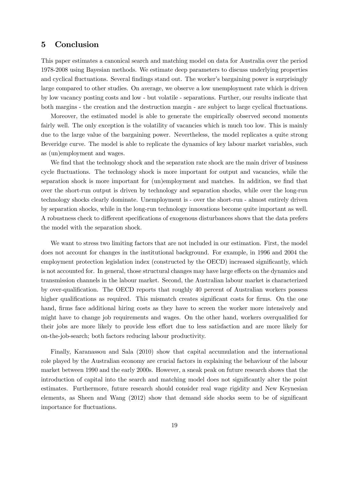## 5 Conclusion

This paper estimates a canonical search and matching model on data for Australia over the period 1978-2008 using Bayesian methods. We estimate deep parameters to discuss underlying properties and cyclical fluctuations. Several findings stand out. The worker's bargaining power is surprisingly large compared to other studies. On average, we observe a low unemployment rate which is driven by low vacancy posting costs and low - but volatile - separations. Further, our results indicate that both margins - the creation and the destruction margin - are subject to large cyclical fluctuations.

Moreover, the estimated model is able to generate the empirically observed second moments fairly well. The only exception is the volatility of vacancies which is much too low. This is mainly due to the large value of the bargaining power. Nevertheless, the model replicates a quite strong Beveridge curve. The model is able to replicate the dynamics of key labour market variables, such as (un)employment and wages.

We find that the technology shock and the separation rate shock are the main driver of business cycle fluctuations. The technology shock is more important for output and vacancies, while the separation shock is more important for (un)employment and matches. In addition, we find that over the short-run output is driven by technology and separation shocks, while over the long-run technology shocks clearly dominate. Unemployment is - over the short-run - almost entirely driven by separation shocks, while in the long-run technology innovations become quite important as well. A robustness check to different specifications of exogenous disturbances shows that the data prefers the model with the separation shock.

We want to stress two limiting factors that are not included in our estimation. First, the model does not account for changes in the institutional background. For example, in 1996 and 2004 the employment protection legislation index (constructed by the OECD) increased significantly, which is not accounted for. In general, those structural changes may have large effects on the dynamics and transmission channels in the labour market. Second, the Australian labour market is characterized by over-qualification. The OECD reports that roughly 40 percent of Australian workers possess higher qualifications as required. This mismatch creates significant costs for firms. On the one hand, firms face additional hiring costs as they have to screen the worker more intensively and might have to change job requirements and wages. On the other hand, workers overqualified for their jobs are more likely to provide less effort due to less satisfaction and are more likely for on-the-job-search; both factors reducing labour productivity.

Finally, Karanassou and Sala (2010) show that capital accumulation and the international role played by the Australian economy are crucial factors in explaining the behaviour of the labour market between 1990 and the early 2000s. However, a sneak peak on future research shows that the introduction of capital into the search and matching model does not significantly alter the point estimates. Furthermore, future research should consider real wage rigidity and New Keynesian elements, as Sheen and Wang (2012) show that demand side shocks seem to be of significant importance for fluctuations.